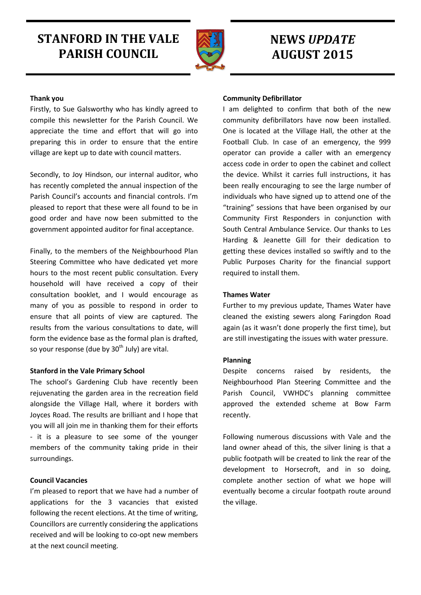# **STANFORD IN THE VALE PARISH COUNCIL**



## **NEWS** *UPDATE* **AUGUST 2015**

## **Thank you**

Firstly, to Sue Galsworthy who has kindly agreed to compile this newsletter for the Parish Council. We appreciate the time and effort that will go into preparing this in order to ensure that the entire village are kept up to date with council matters.

Secondly, to Joy Hindson, our internal auditor, who has recently completed the annual inspection of the Parish Council's accounts and financial controls. I'm pleased to report that these were all found to be in good order and have now been submitted to the government appointed auditor for final acceptance.

Finally, to the members of the Neighbourhood Plan Steering Committee who have dedicated yet more hours to the most recent public consultation. Every household will have received a copy of their consultation booklet, and I would encourage as many of you as possible to respond in order to ensure that all points of view are captured. The results from the various consultations to date, will form the evidence base as the formal plan is drafted, so your response (due by  $30<sup>th</sup>$  July) are vital.

## **Stanford in the Vale Primary School**

The school's Gardening Club have recently been rejuvenating the garden area in the recreation field alongside the Village Hall, where it borders with Joyces Road. The results are brilliant and I hope that you will all join me in thanking them for their efforts - it is a pleasure to see some of the younger members of the community taking pride in their surroundings.

## **Council Vacancies**

I'm pleased to report that we have had a number of applications for the 3 vacancies that existed following the recent elections. At the time of writing, Councillors are currently considering the applications received and will be looking to co-opt new members at the next council meeting.

## **Community Defibrillator**

I am delighted to confirm that both of the new community defibrillators have now been installed. One is located at the Village Hall, the other at the Football Club. In case of an emergency, the 999 operator can provide a caller with an emergency access code in order to open the cabinet and collect the device. Whilst it carries full instructions, it has been really encouraging to see the large number of individuals who have signed up to attend one of the "training" sessions that have been organised by our Community First Responders in conjunction with South Central Ambulance Service. Our thanks to Les Harding & Jeanette Gill for their dedication to getting these devices installed so swiftly and to the Public Purposes Charity for the financial support required to install them.

## **Thames Water**

Further to my previous update, Thames Water have cleaned the existing sewers along Faringdon Road again (as it wasn't done properly the first time), but are still investigating the issues with water pressure.

#### **Planning**

Despite concerns raised by residents, the Neighbourhood Plan Steering Committee and the Parish Council, VWHDC's planning committee approved the extended scheme at Bow Farm recently.

Following numerous discussions with Vale and the land owner ahead of this, the silver lining is that a public footpath will be created to link the rear of the development to Horsecroft, and in so doing, complete another section of what we hope will eventually become a circular footpath route around the village.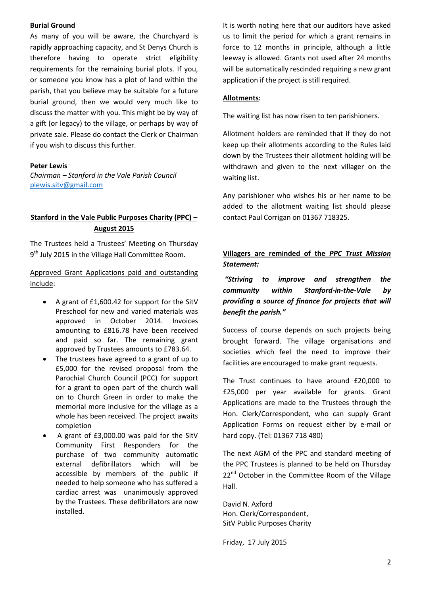#### **Burial Ground**

As many of you will be aware, the Churchyard is rapidly approaching capacity, and St Denys Church is therefore having to operate strict eligibility requirements for the remaining burial plots. If you, or someone you know has a plot of land within the parish, that you believe may be suitable for a future burial ground, then we would very much like to discuss the matter with you. This might be by way of a gift (or legacy) to the village, or perhaps by way of private sale. Please do contact the Clerk or Chairman if you wish to discuss this further.

#### **Peter Lewis**

*Chairman – Stanford in the Vale Parish Council* [plewis.sitv@gmail.com](mailto:plewis.sitv@gmail.com)

## **Stanford in the Vale Public Purposes Charity (PPC) – August 2015**

The Trustees held a Trustees' Meeting on Thursday 9<sup>th</sup> July 2015 in the Village Hall Committee Room.

Approved Grant Applications paid and outstanding include:

- A grant of £1,600.42 for support for the SitV Preschool for new and varied materials was approved in October 2014. Invoices amounting to £816.78 have been received and paid so far. The remaining grant approved by Trustees amounts to £783.64.
- The trustees have agreed to a grant of up to £5,000 for the revised proposal from the Parochial Church Council (PCC) for support for a grant to open part of the church wall on to Church Green in order to make the memorial more inclusive for the village as a whole has been received. The project awaits completion
- A grant of £3,000.00 was paid for the SitV Community First Responders for the purchase of two community automatic external defibrillators which will be accessible by members of the public if needed to help someone who has suffered a cardiac arrest was unanimously approved by the Trustees. These defibrillators are now installed.

It is worth noting here that our auditors have asked us to limit the period for which a grant remains in force to 12 months in principle, although a little leeway is allowed. Grants not used after 24 months will be automatically rescinded requiring a new grant application if the project is still required.

#### **Allotments:**

The waiting list has now risen to ten parishioners.

Allotment holders are reminded that if they do not keep up their allotments according to the Rules laid down by the Trustees their allotment holding will be withdrawn and given to the next villager on the waiting list.

Any parishioner who wishes his or her name to be added to the allotment waiting list should please contact Paul Corrigan on 01367 718325.

## **Villagers are reminded of the** *PPC Trust Mission Statement:*

*"Striving to improve and strengthen the community within Stanford-in-the-Vale by providing a source of finance for projects that will benefit the parish."*

Success of course depends on such projects being brought forward. The village organisations and societies which feel the need to improve their facilities are encouraged to make grant requests.

The Trust continues to have around £20,000 to £25,000 per year available for grants. Grant Applications are made to the Trustees through the Hon. Clerk/Correspondent, who can supply Grant Application Forms on request either by e-mail or hard copy. (Tel: 01367 718 480)

The next AGM of the PPC and standard meeting of the PPC Trustees is planned to be held on Thursday 22<sup>nd</sup> October in the Committee Room of the Village Hall.

David N. Axford Hon. Clerk/Correspondent, SitV Public Purposes Charity

Friday, 17 July 2015